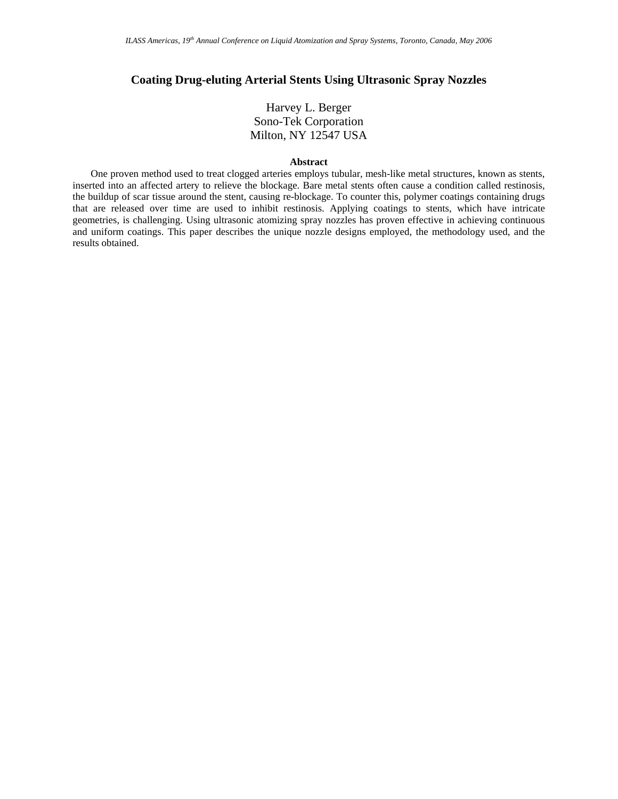# **Coating Drug-eluting Arterial Stents Using Ultrasonic Spray Nozzles**

# Harvey L. Berger Sono-Tek Corporation Milton, NY 12547 USA

#### **Abstract**

One proven method used to treat clogged arteries employs tubular, mesh-like metal structures, known as stents, inserted into an affected artery to relieve the blockage. Bare metal stents often cause a condition called restinosis, the buildup of scar tissue around the stent, causing re-blockage. To counter this, polymer coatings containing drugs that are released over time are used to inhibit restinosis. Applying coatings to stents, which have intricate geometries, is challenging. Using ultrasonic atomizing spray nozzles has proven effective in achieving continuous and uniform coatings. This paper describes the unique nozzle designs employed, the methodology used, and the results obtained.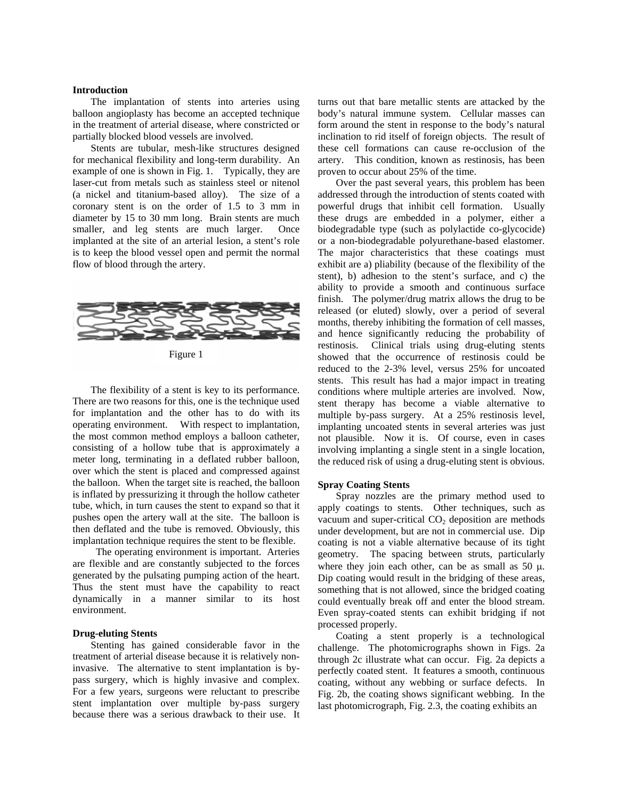## **Introduction**

The implantation of stents into arteries using balloon angioplasty has become an accepted technique in the treatment of arterial disease, where constricted or partially blocked blood vessels are involved.

Stents are tubular, mesh-like structures designed for mechanical flexibility and long-term durability. An example of one is shown in Fig. 1. Typically, they are laser-cut from metals such as stainless steel or nitenol (a nickel and titanium-based alloy). The size of a coronary stent is on the order of 1.5 to 3 mm in diameter by 15 to 30 mm long. Brain stents are much smaller, and leg stents are much larger. Once implanted at the site of an arterial lesion, a stent's role is to keep the blood vessel open and permit the normal flow of blood through the artery.



Figure 1

The flexibility of a stent is key to its performance. There are two reasons for this, one is the technique used for implantation and the other has to do with its operating environment. With respect to implantation, the most common method employs a balloon catheter, consisting of a hollow tube that is approximately a meter long, terminating in a deflated rubber balloon, over which the stent is placed and compressed against the balloon. When the target site is reached, the balloon is inflated by pressurizing it through the hollow catheter tube, which, in turn causes the stent to expand so that it pushes open the artery wall at the site. The balloon is then deflated and the tube is removed. Obviously, this implantation technique requires the stent to be flexible.

 The operating environment is important. Arteries are flexible and are constantly subjected to the forces generated by the pulsating pumping action of the heart. Thus the stent must have the capability to react dynamically in a manner similar to its host environment.

### **Drug-eluting Stents**

Stenting has gained considerable favor in the treatment of arterial disease because it is relatively noninvasive. The alternative to stent implantation is bypass surgery, which is highly invasive and complex. For a few years, surgeons were reluctant to prescribe stent implantation over multiple by-pass surgery because there was a serious drawback to their use. It

turns out that bare metallic stents are attacked by the body's natural immune system. Cellular masses can form around the stent in response to the body's natural inclination to rid itself of foreign objects. The result of these cell formations can cause re-occlusion of the artery. This condition, known as restinosis, has been proven to occur about 25% of the time.

Over the past several years, this problem has been addressed through the introduction of stents coated with powerful drugs that inhibit cell formation. Usually these drugs are embedded in a polymer, either a biodegradable type (such as polylactide co-glycocide) or a non-biodegradable polyurethane-based elastomer. The major characteristics that these coatings must exhibit are a) pliability (because of the flexibility of the stent), b) adhesion to the stent's surface, and c) the ability to provide a smooth and continuous surface finish. The polymer/drug matrix allows the drug to be released (or eluted) slowly, over a period of several months, thereby inhibiting the formation of cell masses, and hence significantly reducing the probability of restinosis. Clinical trials using drug-eluting stents showed that the occurrence of restinosis could be reduced to the 2-3% level, versus 25% for uncoated stents. This result has had a major impact in treating conditions where multiple arteries are involved. Now, stent therapy has become a viable alternative to multiple by-pass surgery. At a 25% restinosis level, implanting uncoated stents in several arteries was just not plausible. Now it is. Of course, even in cases involving implanting a single stent in a single location, the reduced risk of using a drug-eluting stent is obvious.

#### **Spray Coating Stents**

Spray nozzles are the primary method used to apply coatings to stents. Other techniques, such as vacuum and super-critical  $CO<sub>2</sub>$  deposition are methods under development, but are not in commercial use. Dip coating is not a viable alternative because of its tight geometry. The spacing between struts, particularly where they join each other, can be as small as 50  $\mu$ . Dip coating would result in the bridging of these areas, something that is not allowed, since the bridged coating could eventually break off and enter the blood stream. Even spray-coated stents can exhibit bridging if not processed properly.

Coating a stent properly is a technological challenge. The photomicrographs shown in Figs. 2a through 2c illustrate what can occur. Fig. 2a depicts a perfectly coated stent. It features a smooth, continuous coating, without any webbing or surface defects. In Fig. 2b, the coating shows significant webbing. In the last photomicrograph, Fig. 2.3, the coating exhibits an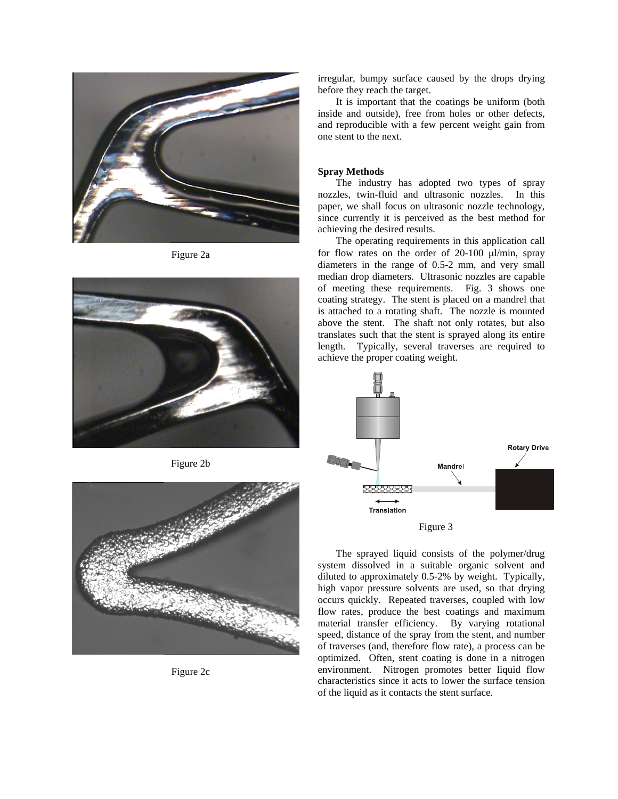

Figure 2a



Figure 2b



Figure 2c

irregular, bumpy surface caused by the drops drying before they reach the target.

It is important that the coatings be uniform (both inside and outside), free from holes or other defects, and reproducible with a few percent weight gain from one stent to the next.

# **Spray Methods**

The industry has adopted two types of spray nozzles, twin-fluid and ultrasonic nozzles. In this paper, we shall focus on ultrasonic nozzle technology, since currently it is perceived as the best method for achieving the desired results.

The operating requirements in this application call for flow rates on the order of 20-100 μl/min, spray diameters in the range of 0.5-2 mm, and very small median drop diameters. Ultrasonic nozzles are capable of meeting these requirements. Fig. 3 shows one coating strategy. The stent is placed on a mandrel that is attached to a rotating shaft. The nozzle is mounted above the stent. The shaft not only rotates, but also translates such that the stent is sprayed along its entire length. Typically, several traverses are required to achieve the proper coating weight.





The sprayed liquid consists of the polymer/drug system dissolved in a suitable organic solvent and diluted to approximately 0.5-2% by weight. Typically, high vapor pressure solvents are used, so that drying occurs quickly. Repeated traverses, coupled with low flow rates, produce the best coatings and maximum material transfer efficiency. By varying rotational speed, distance of the spray from the stent, and number of traverses (and, therefore flow rate), a process can be optimized. Often, stent coating is done in a nitrogen environment. Nitrogen promotes better liquid flow characteristics since it acts to lower the surface tension of the liquid as it contacts the stent surface.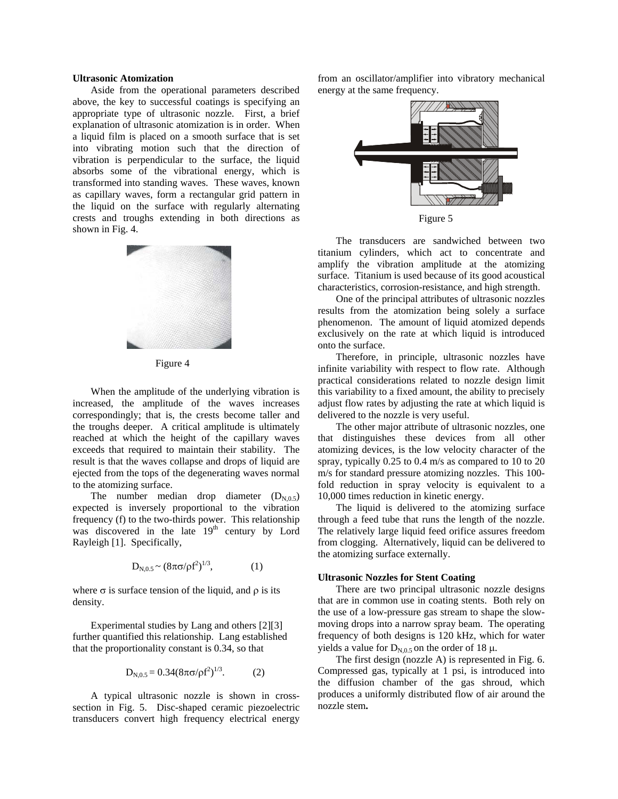# **Ultrasonic Atomization**

Aside from the operational parameters described above, the key to successful coatings is specifying an appropriate type of ultrasonic nozzle. First, a brief explanation of ultrasonic atomization is in order. When a liquid film is placed on a smooth surface that is set into vibrating motion such that the direction of vibration is perpendicular to the surface, the liquid absorbs some of the vibrational energy, which is transformed into standing waves. These waves, known as capillary waves, form a rectangular grid pattern in the liquid on the surface with regularly alternating crests and troughs extending in both directions as shown in Fig. 4.



Figure 4

When the amplitude of the underlying vibration is increased, the amplitude of the waves increases correspondingly; that is, the crests become taller and the troughs deeper. A critical amplitude is ultimately reached at which the height of the capillary waves exceeds that required to maintain their stability. The result is that the waves collapse and drops of liquid are ejected from the tops of the degenerating waves normal to the atomizing surface.

The number median drop diameter  $(D_{N,0.5})$ expected is inversely proportional to the vibration frequency (f) to the two-thirds power. This relationship was discovered in the late  $19<sup>th</sup>$  century by Lord Rayleigh [1]. Specifically,

$$
D_{N,0.5} \sim (8\pi\sigma/\rho f^2)^{1/3},\tag{1}
$$

where  $\sigma$  is surface tension of the liquid, and  $\rho$  is its density.

Experimental studies by Lang and others [2][3] further quantified this relationship. Lang established that the proportionality constant is 0.34, so that

$$
D_{N,0.5} = 0.34(8\pi\sigma/\rho f^2)^{1/3}.
$$
 (2)

A typical ultrasonic nozzle is shown in crosssection in Fig. 5. Disc-shaped ceramic piezoelectric transducers convert high frequency electrical energy from an oscillator/amplifier into vibratory mechanical energy at the same frequency.



Figure 5

The transducers are sandwiched between two titanium cylinders, which act to concentrate and amplify the vibration amplitude at the atomizing surface. Titanium is used because of its good acoustical characteristics, corrosion-resistance, and high strength.

One of the principal attributes of ultrasonic nozzles results from the atomization being solely a surface phenomenon. The amount of liquid atomized depends exclusively on the rate at which liquid is introduced onto the surface.

Therefore, in principle, ultrasonic nozzles have infinite variability with respect to flow rate. Although practical considerations related to nozzle design limit this variability to a fixed amount, the ability to precisely adjust flow rates by adjusting the rate at which liquid is delivered to the nozzle is very useful.

The other major attribute of ultrasonic nozzles, one that distinguishes these devices from all other atomizing devices, is the low velocity character of the spray, typically 0.25 to 0.4 m/s as compared to 10 to 20 m/s for standard pressure atomizing nozzles. This 100 fold reduction in spray velocity is equivalent to a 10,000 times reduction in kinetic energy.

The liquid is delivered to the atomizing surface through a feed tube that runs the length of the nozzle. The relatively large liquid feed orifice assures freedom from clogging. Alternatively, liquid can be delivered to the atomizing surface externally.

## **Ultrasonic Nozzles for Stent Coating**

There are two principal ultrasonic nozzle designs that are in common use in coating stents. Both rely on the use of a low-pressure gas stream to shape the slowmoving drops into a narrow spray beam. The operating frequency of both designs is 120 kHz, which for water yields a value for  $D_{N,0.5}$  on the order of 18 μ.

The first design (nozzle A) is represented in Fig. 6. Compressed gas, typically at 1 psi, is introduced into the diffusion chamber of the gas shroud, which produces a uniformly distributed flow of air around the nozzle stem**.**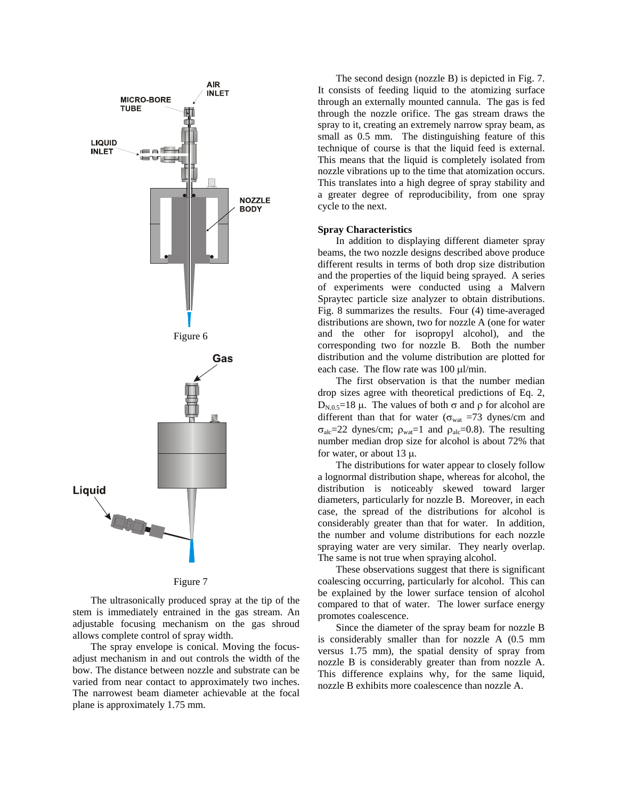

Figure 7

The ultrasonically produced spray at the tip of the stem is immediately entrained in the gas stream. An adjustable focusing mechanism on the gas shroud allows complete control of spray width.

The spray envelope is conical. Moving the focusadjust mechanism in and out controls the width of the bow. The distance between nozzle and substrate can be varied from near contact to approximately two inches. The narrowest beam diameter achievable at the focal plane is approximately 1.75 mm.

The second design (nozzle B) is depicted in Fig. 7. It consists of feeding liquid to the atomizing surface through an externally mounted cannula. The gas is fed through the nozzle orifice. The gas stream draws the spray to it, creating an extremely narrow spray beam, as small as 0.5 mm. The distinguishing feature of this technique of course is that the liquid feed is external. This means that the liquid is completely isolated from nozzle vibrations up to the time that atomization occurs. This translates into a high degree of spray stability and a greater degree of reproducibility, from one spray cycle to the next.

### **Spray Characteristics**

In addition to displaying different diameter spray beams, the two nozzle designs described above produce different results in terms of both drop size distribution and the properties of the liquid being sprayed. A series of experiments were conducted using a Malvern Spraytec particle size analyzer to obtain distributions. Fig. 8 summarizes the results. Four (4) time-averaged distributions are shown, two for nozzle A (one for water and the other for isopropyl alcohol), and the corresponding two for nozzle B. Both the number distribution and the volume distribution are plotted for each case. The flow rate was 100 μl/min.

The first observation is that the number median drop sizes agree with theoretical predictions of Eq. 2, D<sub>N,0.5</sub>=18 μ. The values of both  $\sigma$  and  $\rho$  for alcohol are different than that for water ( $\sigma_{\text{wat}}$  =73 dynes/cm and  $σ<sub>alc</sub>=22 dynes/cm; ρ<sub>wat</sub>=1 and ρ<sub>alc</sub>=0.8$ ). The resulting number median drop size for alcohol is about 72% that for water, or about  $13 \mu$ .

The distributions for water appear to closely follow a lognormal distribution shape, whereas for alcohol, the distribution is noticeably skewed toward larger diameters, particularly for nozzle B. Moreover, in each case, the spread of the distributions for alcohol is considerably greater than that for water. In addition, the number and volume distributions for each nozzle spraying water are very similar. They nearly overlap. The same is not true when spraying alcohol.

These observations suggest that there is significant coalescing occurring, particularly for alcohol. This can be explained by the lower surface tension of alcohol compared to that of water. The lower surface energy promotes coalescence.

Since the diameter of the spray beam for nozzle B is considerably smaller than for nozzle A (0.5 mm versus 1.75 mm), the spatial density of spray from nozzle B is considerably greater than from nozzle A. This difference explains why, for the same liquid, nozzle B exhibits more coalescence than nozzle A.